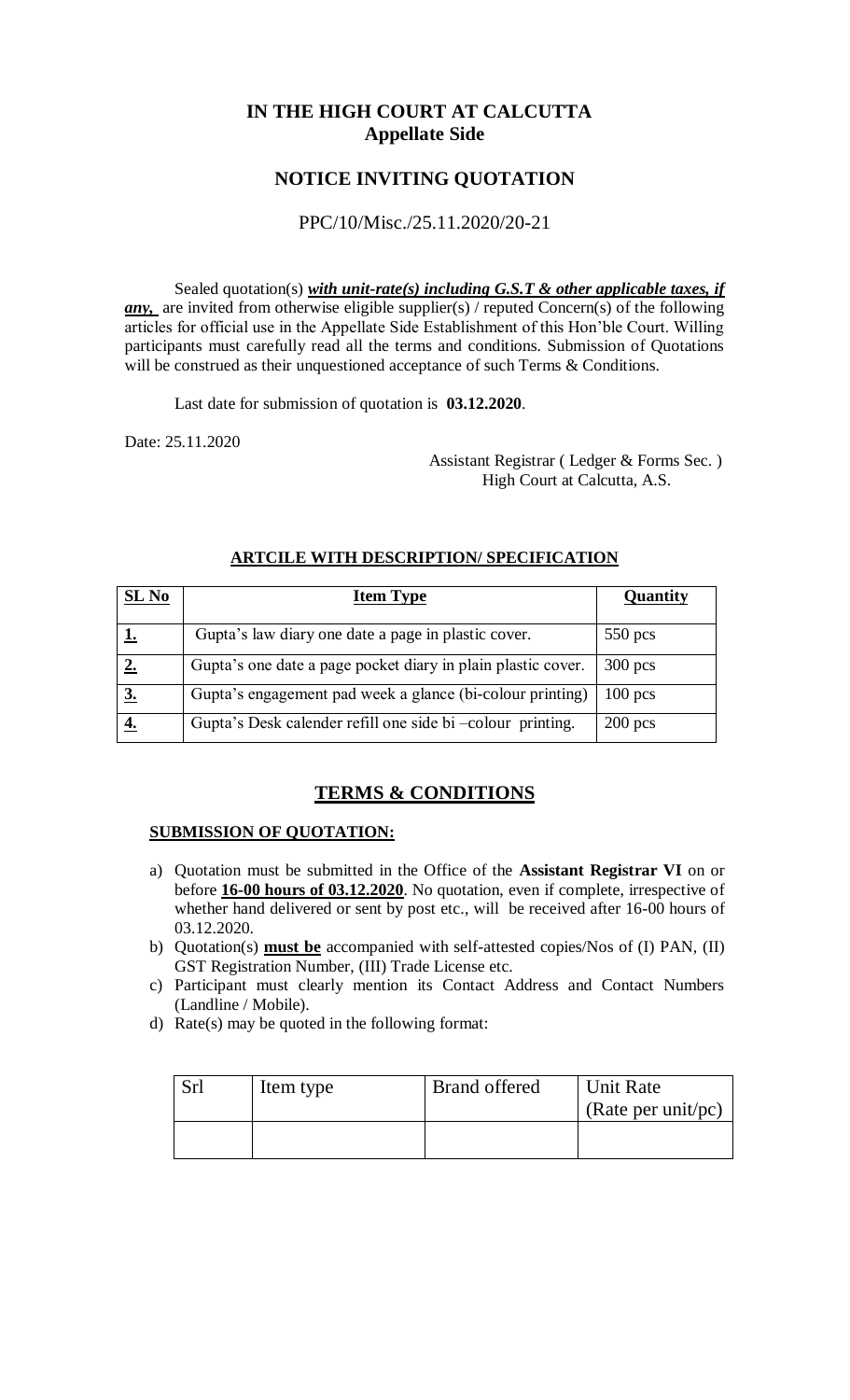# **IN THE HIGH COURT AT CALCUTTA Appellate Side**

# **NOTICE INVITING QUOTATION**

## PPC/10/Misc./25.11.2020/20-21

Sealed quotation(s) *with unit-rate(s) including G.S.T & other applicable taxes, if any*, are invited from otherwise eligible supplier(s) / reputed Concern(s) of the following articles for official use in the Appellate Side Establishment of this Hon'ble Court. Willing participants must carefully read all the terms and conditions. Submission of Quotations will be construed as their unquestioned acceptance of such Terms & Conditions.

Last date for submission of quotation is **03.12.2020**.

Date: 25.11.2020

 Assistant Registrar ( Ledger & Forms Sec. ) High Court at Calcutta, A.S.

| SL No | <b>Item Type</b>                                             | Quantity  |
|-------|--------------------------------------------------------------|-----------|
|       | Gupta's law diary one date a page in plastic cover.          | $550$ pcs |
|       | Gupta's one date a page pocket diary in plain plastic cover. | $300$ pcs |
|       | Gupta's engagement pad week a glance (bi-colour printing)    | $100$ pcs |
|       | Gupta's Desk calender refill one side bi -colour printing.   | $200$ pcs |

### **ARTCILE WITH DESCRIPTION/ SPECIFICATION**

## **TERMS & CONDITIONS**

### **SUBMISSION OF QUOTATION:**

- a) Quotation must be submitted in the Office of the **Assistant Registrar VI** on or before **16-00 hours of 03.12.2020**. No quotation, even if complete, irrespective of whether hand delivered or sent by post etc., will be received after 16-00 hours of 03.12.2020.
- b) Quotation(s) **must be** accompanied with self-attested copies/Nos of (I) PAN, (II) GST Registration Number, (III) Trade License etc.
- c) Participant must clearly mention its Contact Address and Contact Numbers (Landline / Mobile).
- d) Rate(s) may be quoted in the following format:

| Srl | Item type | <b>Brand offered</b> | Unit Rate          |
|-----|-----------|----------------------|--------------------|
|     |           |                      | (Rate per unit/pc) |
|     |           |                      |                    |
|     |           |                      |                    |